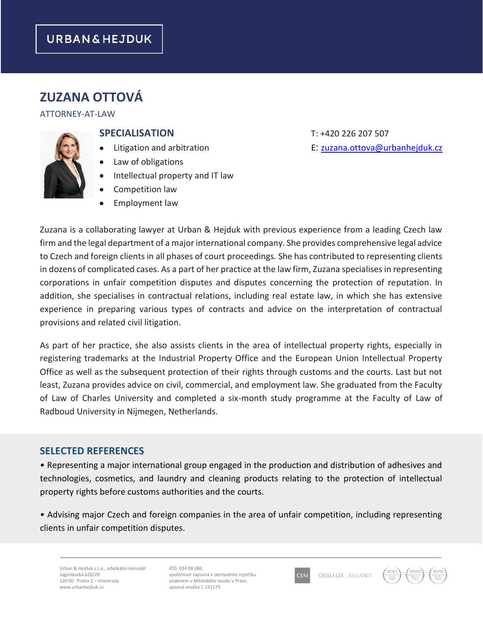# **URBAN&HEJDUK**

# **ZUZANA OTTOVÁ**

#### ATTORNEY-AT-LAW

#### **SPECIALISATION** T: +420 226 207 507

- 
- Law of obligations
- Intellectual property and IT law
- Competition law
- Employment law

• Litigation and arbitration E: [zuzana.ottova@urbanhejduk.cz](mailto:zuzana.ottova@urbanhejduk.cz)

Zuzana is a collaborating lawyer at Urban & Hejduk with previous experience from a leading Czech law firm and the legal department of a major international company. She provides comprehensive legal advice to Czech and foreign clients in all phases of court proceedings. She has contributed to representing clients in dozens of complicated cases. As a part of her practice at the law firm, Zuzana specialises in representing corporations in unfair competition disputes and disputes concerning the protection of reputation. In addition, she specialises in contractual relations, including real estate law, in which she has extensive experience in preparing various types of contracts and advice on the interpretation of contractual provisions and related civil litigation.

As part of her practice, she also assists clients in the area of intellectual property rights, especially in registering trademarks at the Industrial Property Office and the European Union Intellectual Property Office as well as the subsequent protection of their rights through customs and the courts. Last but not least, Zuzana provides advice on civil, commercial, and employment law. She graduated from the Faculty of Law of Charles University and completed a six-month study programme at the Faculty of Law of Radboud University in Nijmegen, Netherlands.

#### **SELECTED REFERENCES**

• Representing a major international group engaged in the production and distribution of adhesives and technologies, cosmetics, and laundry and cleaning products relating to the protection of intellectual property rights before customs authorities and the courts.

• Advising major Czech and foreign companies in the area of unfair competition, including representing clients in unfair competition disputes.

Urban & Hejduk s.r.o., advokátní kancelář Jugoslávská 620/29 120 00 Praha 2 – Vinohrady www.urbanhejduk.cz

IČO: 034 08 086 společnost zapsaná v obchodním rejstříku vedeném u Městského soudu v Praze, spisová značka C 231175